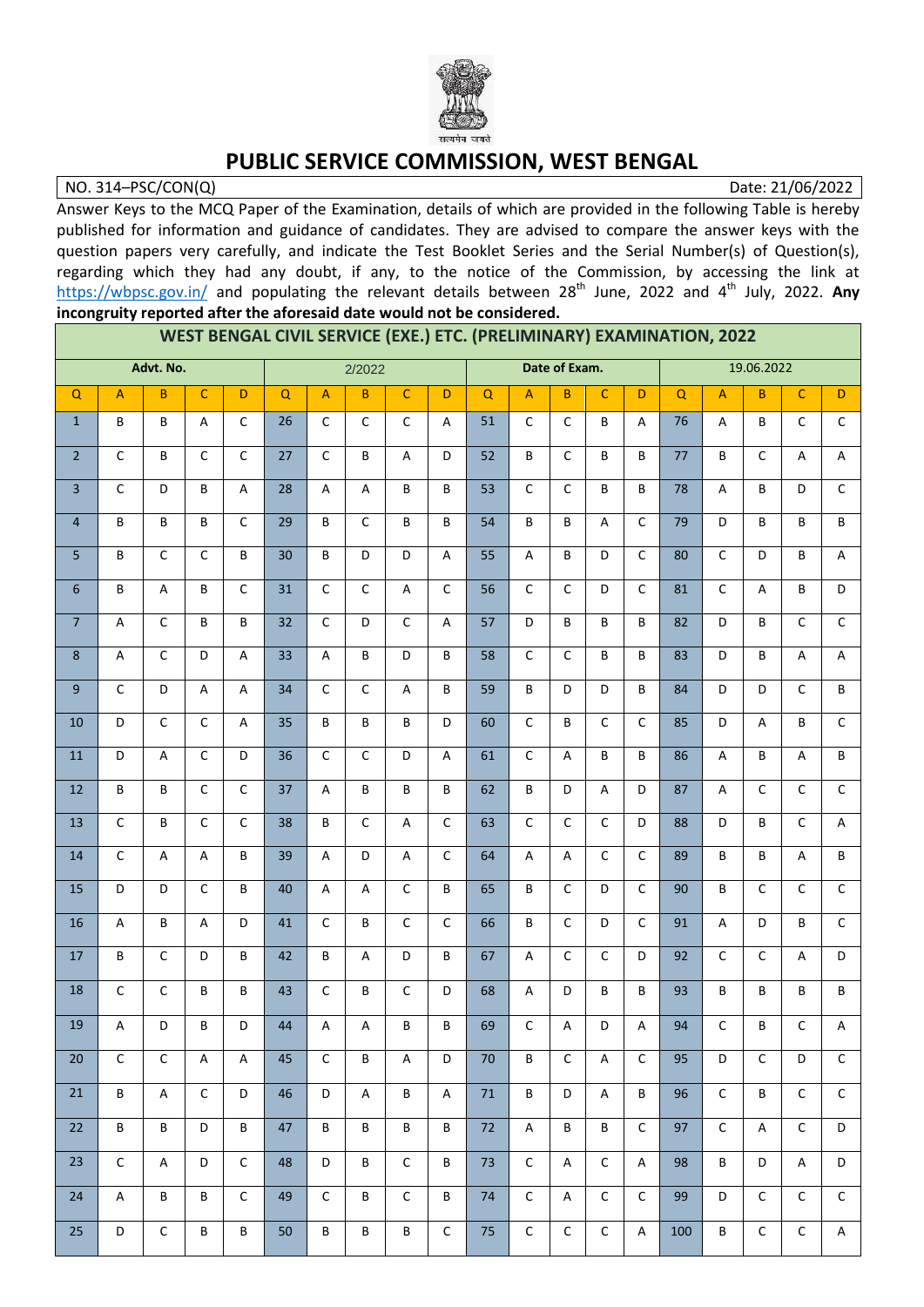

## **PUBLIC SERVICE COMMISSION, WEST BENGAL**

NO. 314–PSC/CON(Q) Date: 21/06/2022

Answer Keys to the MCQ Paper of the Examination, details of which are provided in the following Table is hereby published for information and guidance of candidates. They are advised to compare the answer keys with the question papers very carefully, and indicate the Test Booklet Series and the Serial Number(s) of Question(s), regarding which they had any doubt, if any, to the notice of the Commission, by accessing the link at <https://wbpsc.gov.in/> and populating the relevant details between 28<sup>th</sup> June, 2022 and 4<sup>th</sup> July, 2022. Any **incongruity reported after the aforesaid date would not be considered.**

| WEST BENGAL CIVIL SERVICE (EXE.) ETC. (PRELIMINARY) EXAMINATION, 2022<br>2/2022 |                                                     |                |                           |                           |                 |                           |                |                           |                  |          |                                                     |                           |              |                |                 |                           |                 |                           |                           |
|---------------------------------------------------------------------------------|-----------------------------------------------------|----------------|---------------------------|---------------------------|-----------------|---------------------------|----------------|---------------------------|------------------|----------|-----------------------------------------------------|---------------------------|--------------|----------------|-----------------|---------------------------|-----------------|---------------------------|---------------------------|
|                                                                                 | Advt. No.                                           |                |                           |                           | Date of Exam.   |                           |                | 19.06.2022                |                  |          |                                                     |                           |              |                |                 |                           |                 |                           |                           |
| $\mathsf Q$                                                                     | $\mathsf{A}% _{\mathsf{A}}\left( \mathsf{A}\right)$ | B              | $\mathsf C$               | D                         | Q               | $\overline{A}$            | B              | $\mathsf{C}$              | $\mathsf D$      | $\Omega$ | $\mathsf{A}% _{\mathsf{A}}\left( \mathsf{A}\right)$ | $\overline{B}$            | $\mathsf C$  | D              | $\mathsf Q$     | $\overline{A}$            | $\overline{B}$  | $\mathsf{C}$              | D                         |
| $\mathbf{1}$                                                                    | В                                                   | В              | A                         | $\mathsf C$               | 26              | $\mathsf C$               | $\mathsf C$    | $\mathsf{C}$              | A                | 51       | $\mathsf C$                                         | $\mathsf C$               | В            | A              | 76              | A                         | В               | $\mathsf C$               | $\mathsf{C}$              |
| $\overline{2}$                                                                  | C                                                   | В              | $\mathsf C$               | $\mathsf C$               | 27              | $\mathsf{C}$              | B              | $\boldsymbol{\mathsf{A}}$ | D                | 52       | B                                                   | $\mathsf{C}$              | B            | B              | 77              | B                         | $\mathsf C$     | A                         | $\boldsymbol{\mathsf{A}}$ |
| 3                                                                               | $\mathsf C$                                         | D              | B                         | A                         | 28              | A                         | A              | В                         | B                | 53       | $\mathsf C$                                         | $\mathsf C$               | B            | B              | 78              | Α                         | B               | D                         | $\mathsf C$               |
| 4                                                                               | B                                                   | B              | B                         | $\overline{C}$            | $\overline{29}$ | B                         | $\overline{C}$ | B                         | $\sf B$          | 54       | B                                                   | B                         | A            | $\overline{C}$ | $\overline{79}$ | D                         | B               | B                         | B                         |
| 5                                                                               | B                                                   | $\mathsf C$    | $\mathsf C$               | $\sf B$                   | 30              | B                         | D              | D                         | $\mathsf A$      | 55       | A                                                   | B                         | D            | $\mathsf C$    | 80              | $\mathsf C$               | D               | B                         | A                         |
| 6                                                                               | B                                                   | A              | B                         | $\mathsf C$               | 31              | $\mathsf{C}$              | $\mathsf C$    | $\boldsymbol{\mathsf{A}}$ | $\mathsf C$      | 56       | $\mathsf C$                                         | $\mathsf C$               | D            | $\mathsf C$    | 81              | $\mathsf C$               | A               | B                         | D                         |
| $\overline{7}$                                                                  | $\sf A$                                             | $\overline{C}$ | B                         | $\sf B$                   | $\overline{32}$ | $\overline{C}$            | D              | $\overline{C}$            | $\boldsymbol{A}$ | 57       | D                                                   | B                         | B            | B              | 82              | $\mathsf D$               | B               | $\mathsf{C}$              | $\overline{C}$            |
| 8                                                                               | $\sf A$                                             | $\mathsf C$    | D                         | $\boldsymbol{\mathsf{A}}$ | 33              | $\boldsymbol{\mathsf{A}}$ | B              | D                         | B                | 58       | $\mathsf C$                                         | $\mathsf C$               | B            | B              | 83              | D                         | B               | $\boldsymbol{\mathsf{A}}$ | A                         |
| 9                                                                               | $\mathsf C$                                         | D              | $\boldsymbol{\mathsf{A}}$ | A                         | 34              | $\mathsf{C}$              | $\mathsf C$    | A                         | B                | 59       | B                                                   | D                         | D            | B              | 84              | D                         | D               | $\mathsf{C}$              | В                         |
| 10                                                                              | D                                                   | $\mathsf C$    | $\mathsf C$               | $\boldsymbol{\mathsf{A}}$ | 35              | B                         | B              | B                         | D                | 60       | $\overline{C}$                                      | B                         | $\mathsf C$  | $\mathsf C$    | 85              | $\mathsf D$               | A               | B                         | $\mathsf C$               |
| $11\,$                                                                          | D                                                   | A              | $\mathsf C$               | D                         | 36              | $\mathsf{C}$              | $\mathsf C$    | D                         | $\mathsf A$      | 61       | $\mathsf C$                                         | $\overline{A}$            | B            | B              | 86              | $\boldsymbol{\mathsf{A}}$ | B               | $\overline{A}$            | B                         |
| $12\,$                                                                          | B                                                   | B              | $\mathsf C$               | $\mathsf C$               | 37              | $\overline{A}$            | B              | B                         | $\sf B$          | 62       | B                                                   | D                         | A            | D              | 87              | $\boldsymbol{\mathsf{A}}$ | $\mathsf C$     | $\mathsf{C}$              | $\mathsf C$               |
| 13                                                                              | $\mathsf C$                                         | B              | $\mathsf C$               | $\mathsf C$               | 38              | B                         | $\mathsf C$    | $\boldsymbol{\mathsf{A}}$ | $\mathsf C$      | 63       | $\mathsf C$                                         | $\mathsf C$               | $\mathsf C$  | D              | 88              | D                         | B               | $\mathsf C$               | A                         |
| 14                                                                              | $\mathsf{C}$                                        | A              | $\boldsymbol{\mathsf{A}}$ | $\sf B$                   | 39              | $\overline{A}$            | D              | $\boldsymbol{\mathsf{A}}$ | $\mathsf C$      | 64       | $\sf A$                                             | $\boldsymbol{\mathsf{A}}$ | $\mathsf{C}$ | $\mathsf C$    | 89              | B                         | B               | $\overline{A}$            | В                         |
| 15                                                                              | D                                                   | D              | $\mathsf{C}$              | B                         | 40              | Α                         | A              | $\mathsf C$               | B                | 65       | B                                                   | $\mathsf C$               | D            | $\mathsf C$    | 90              | B                         | $\mathsf{C}$    | C                         | $\mathsf C$               |
| $16\,$                                                                          | A                                                   | B              | $\mathsf{A}$              | D                         | 41              | $\mathsf{C}$              | B              | $\mathsf C$               | $\mathsf C$      | 66       | B                                                   | $\overline{C}$            | D            | $\mathsf C$    | 91              | $\boldsymbol{\mathsf{A}}$ | D               | B                         | $\mathsf C$               |
| 17                                                                              | В                                                   | $\mathsf C$    | D                         | $\sf B$                   | 42              | B                         | A              | D                         | $\sf B$          | 67       | A                                                   | $\mathsf C$               | $\mathsf{C}$ | D              | 92              | $\mathsf C$               | $\mathsf C$     | A                         | D                         |
| $18\,$                                                                          | $\mathsf C$                                         | $\mathsf{C}$   | В                         | B                         | 43              | $\mathsf{C}$              | B              | $\mathsf{C}$              | D                | 68       | A                                                   | D                         | B            | B              | 93              | В                         | B               | В                         | B                         |
| 19                                                                              | $\sf A$                                             | D              | B                         | D                         | 44              | $\mathsf A$               | $\sf A$        | $\, {\bf B} \,$           | $\sf B$          | 69       | $\mathsf C$                                         | А                         | D            | $\mathsf A$    | 94              | $\mathsf C$               | $\, {\bf B} \,$ | $\mathsf C$               | $\boldsymbol{\mathsf{A}}$ |
| 20                                                                              | $\mathsf{C}$                                        | $\mathsf{C}$   | A                         | Α                         | 45              | $\mathsf{C}$              | B              | A                         | D                | 70       | B                                                   | $\mathsf{C}$              | A            | $\mathsf{C}$   | 95              | D                         | $\mathsf{C}$    | D                         | $\mathsf{C}$              |
| 21                                                                              | В                                                   | A              | $\mathsf{C}$              | D                         | 46              | D                         | A              | В                         | A                | 71       | B                                                   | D                         | A            | B              | 96              | $\mathsf C$               | B               | $\mathsf{C}$              | $\mathsf{C}$              |
| 22                                                                              | B                                                   | B              | D                         | B                         | 47              | B                         | B              | В                         | B                | 72       | A                                                   | B                         | B            | $\mathsf{C}$   | 97              | $\mathsf C$               | Α               | $\mathsf{C}$              | D                         |
| 23                                                                              | $\mathsf{C}$                                        | A              | D                         | $\mathsf{C}$              | 48              | D                         | B              | $\mathsf C$               | B                | 73       | $\mathsf C$                                         | A                         | $\mathsf{C}$ | A              | 98              | B                         | D               | A                         | D                         |
| 24                                                                              | A                                                   | В              | В                         | $\mathsf{C}$              | 49              | $\mathsf{C}$              | B              | $\mathsf{C}$              | $\sf B$          | 74       | $\mathsf C$                                         | Α                         | $\mathsf{C}$ | $\mathsf C$    | 99              | D                         | $\mathsf C$     | $\mathsf{C}$              | $\mathsf{C}$              |
| 25                                                                              | D                                                   | $\mathsf{C}$   | B                         | В                         | 50              | В                         | В              | В                         | $\mathsf C$      | 75       | $\mathsf{C}$                                        | $\mathsf{C}$              | $\mathsf{C}$ | A              | 100             | B                         | $\mathsf C$     | $\mathsf{C}$              | Α                         |